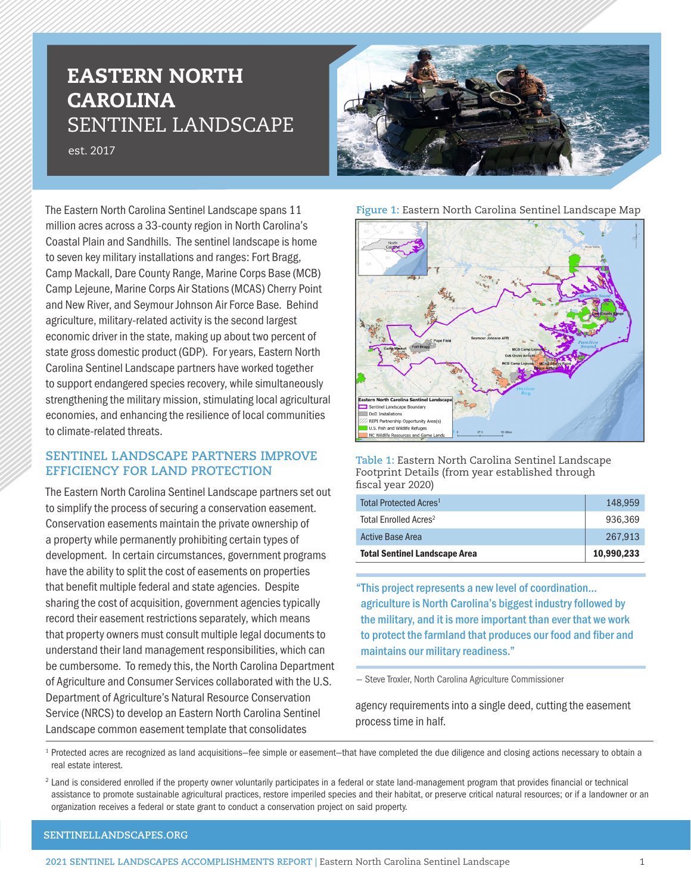# EASTERN NORTH CAROLINA SENTINEL LANDSCAPE

est. 2017



The Eastern North Carolina Sentinel Landscape spans 11 million acres across a 33-county region in North Carolina's Coastal Plain and Sandhills. The sentinel landscape is home to seven key military installations and ranges: Fort Bragg, Camp Mackall, Dare County Range, Marine Corps Base (MCB) Camp Lejeune, Marine Corps Air Stations (MCAS) Cherry Point and New River, and Seymour Johnson Air Force Base. Behind agriculture, military-related activity is the second largest economic driver in the state, making up about two percent of state gross domestic product (GDP). For years, Eastern North Carolina Sentinel Landscape partners have worked together to support endangered species recovery, while simultaneously strengthening the military mission, stimulating local agricultural economies, and enhancing the resilience of local communities to climate-related threats.

## **SENTINEL LANDSCAPE PARTNERS IMPROVE EFFICIENCY FOR LAND PROTECTION**

The Eastern North Carolina Sentinel Landscape partners set out to simplify the process of securing a conservation easement. Conservation easements maintain the private ownership of a property while permanently prohibiting certain types of development. In certain circumstances, government programs have the ability to split the cost of easements on properties that benefit multiple federal and state agencies. Despite sharing the cost of acquisition, government agencies typically record their easement restrictions separately, which means that property owners must consult multiple legal documents to understand their land management responsibilities, which can be cumbersome. To remedy this, the North Carolina Department of Agriculture and Consumer Services collaborated with the U.S. Department of Agriculture's Natural Resource Conservation Service (NRCS) to develop an Eastern North Carolina Sentinel Landscape common easement template that consolidates





**Table 1:** Eastern North Carolina Sentinel Landscape Footprint Details (from year established through fiscal year 2020)

| <b>Total Sentinel Landscape Area</b> | 10.990.233 |
|--------------------------------------|------------|
| <b>Active Base Area</b>              | 267.913    |
| Total Enrolled Acres <sup>2</sup>    | 936.369    |
| Total Protected Acres <sup>1</sup>   | 148.959    |

"This project represents a new level of coordination... agriculture is North Carolina's biggest industry followed by the military, and it is more important than ever that we work to protect the farmland that produces our food and fiber and maintains our military readiness."

— Steve Troxler, North Carolina Agriculture Commissioner

agency requirements into a single deed, cutting the easement process time in half.

<sup>1</sup> Protected acres are recognized as land acquisitions–fee simple or easement–that have completed the due diligence and closing actions necessary to obtain a real estate interest.

<sup>2</sup> Land is considered enrolled if the property owner voluntarily participates in a federal or state land-management program that provides financial or technical assistance to promote sustainable agricultural practices, restore imperiled species and their habitat, or preserve critical natural resources; or if a landowner or an organization receives a federal or state grant to conduct a conservation project on said property.